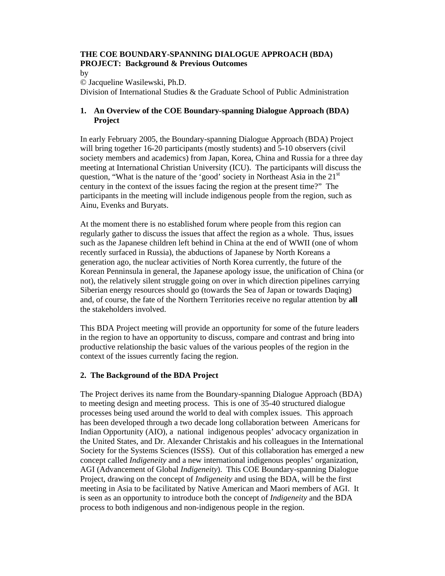### **THE COE BOUNDARY-SPANNING DIALOGUE APPROACH (BDA) PROJECT: Background & Previous Outcomes**  by

© Jacqueline Wasilewski, Ph.D.

Division of International Studies & the Graduate School of Public Administration

# **1. An Overview of the COE Boundary-spanning Dialogue Approach (BDA) Project**

In early February 2005, the Boundary-spanning Dialogue Approach (BDA) Project will bring together 16-20 participants (mostly students) and 5-10 observers (civil society members and academics) from Japan, Korea, China and Russia for a three day meeting at International Christian University (ICU). The participants will discuss the question, "What is the nature of the 'good' society in Northeast Asia in the  $21<sup>st</sup>$ century in the context of the issues facing the region at the present time?"The participants in the meeting will include indigenous people from the region, such as Ainu, Evenks and Buryats.

At the moment there is no established forum where people from this region can regularly gather to discuss the issues that affect the region as a whole. Thus, issues such as the Japanese children left behind in China at the end of WWII (one of whom recently surfaced in Russia), the abductions of Japanese by North Koreans a generation ago, the nuclear activities of North Korea currently, the future of the Korean Penninsula in general, the Japanese apology issue, the unification of China (or not), the relatively silent struggle going on over in which direction pipelines carrying Siberian energy resources should go (towards the Sea of Japan or towards Daqing) and, of course, the fate of the Northern Territories receive no regular attention by **all** the stakeholders involved.

This BDA Project meeting will provide an opportunity for some of the future leaders in the region to have an opportunity to discuss, compare and contrast and bring into productive relationship the basic values of the various peoples of the region in the context of the issues currently facing the region.

# **2. The Background of the BDA Project**

The Project derives its name from the Boundary-spanning Dialogue Approach (BDA) to meeting design and meeting process. This is one of 35-40 structured dialogue processes being used around the world to deal with complex issues. This approach has been developed through a two decade long collaboration between Americans for Indian Opportunity (AIO), a national indigenous peoples' advocacy organization in the United States, and Dr. Alexander Christakis and his colleagues in the International Society for the Systems Sciences (ISSS). Out of this collaboration has emerged a new concept called *Indigeneity* and a new international indigenous peoples' organization, AGI (Advancement of Global *Indigeneity*). This COE Boundary-spanning Dialogue Project, drawing on the concept of *Indigeneity* and using the BDA, will be the first meeting in Asia to be facilitated by Native American and Maori members of AGI. It is seen as an opportunity to introduce both the concept of *Indigeneity* and the BDA process to both indigenous and non-indigenous people in the region.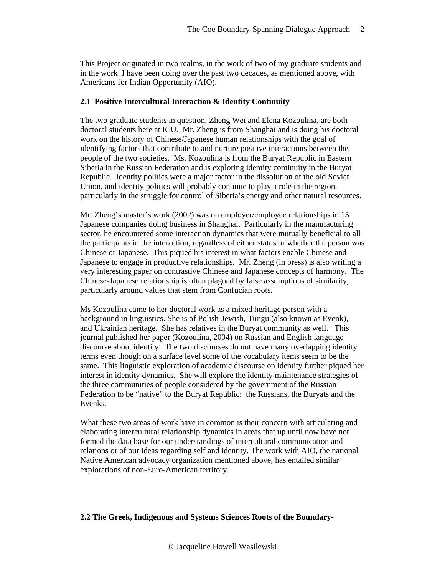This Project originated in two realms, in the work of two of my graduate students and in the work I have been doing over the past two decades, as mentioned above, with Americans for Indian Opportunity (AIO).

## **2.1 Positive Intercultural Interaction & Identity Continuity**

The two graduate students in question, Zheng Wei and Elena Kozoulina, are both doctoral students here at ICU. Mr. Zheng is from Shanghai and is doing his doctoral work on the history of Chinese/Japanese human relationships with the goal of identifying factors that contribute to and nurture positive interactions between the people of the two societies. Ms. Kozoulina is from the Buryat Republic in Eastern Siberia in the Russian Federation and is exploring identity continuity in the Buryat Republic. Identity politics were a major factor in the dissolution of the old Soviet Union, and identity politics will probably continue to play a role in the region, particularly in the struggle for control of Siberia's energy and other natural resources.

Mr. Zheng's master's work (2002) was on employer/employee relationships in 15 Japanese companies doing business in Shanghai. Particularly in the manufacturing sector, he encountered some interaction dynamics that were mutually beneficial to all the participants in the interaction, regardless of either status or whether the person was Chinese or Japanese. This piqued his interest in what factors enable Chinese and Japanese to engage in productive relationships. Mr. Zheng (in press) is also writing a very interesting paper on contrastive Chinese and Japanese concepts of harmony. The Chinese-Japanese relationship is often plagued by false assumptions of similarity, particularly around values that stem from Confucian roots.

Ms Kozoulina came to her doctoral work as a mixed heritage person with a background in linguistics. She is of Polish-Jewish, Tungu (also known as Evenk), and Ukrainian heritage. She has relatives in the Buryat community as well. This journal published her paper (Kozoulina, 2004) on Russian and English language discourse about identity. The two discourses do not have many overlapping identity terms even though on a surface level some of the vocabulary items seem to be the same. This linguistic exploration of academic discourse on identity further piqued her interest in identity dynamics. She will explore the identity maintenance strategies of the three communities of people considered by the government of the Russian Federation to be "native" to the Buryat Republic: the Russians, the Buryats and the Evenks.

What these two areas of work have in common is their concern with articulating and elaborating intercultural relationship dynamics in areas that up until now have not formed the data base for our understandings of intercultural communication and relations or of our ideas regarding self and identity. The work with AIO, the national Native American advocacy organization mentioned above, has entailed similar explorations of non-Euro-American territory.

# **2.2 The Greek, Indigenous and Systems Sciences Roots of the Boundary-**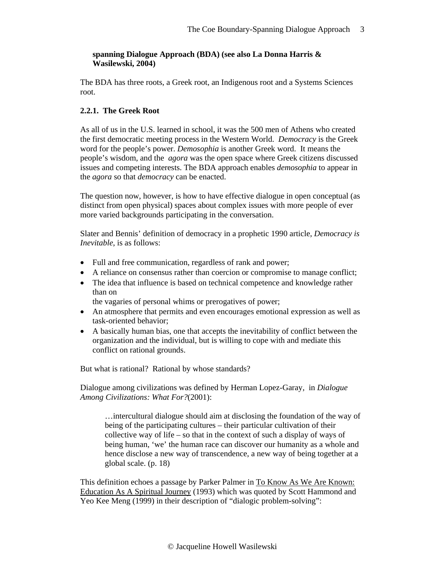## **spanning Dialogue Approach (BDA) (see also La Donna Harris & Wasilewski, 2004)**

The BDA has three roots, a Greek root, an Indigenous root and a Systems Sciences root.

# **2.2.1. The Greek Root**

As all of us in the U.S. learned in school, it was the 500 men of Athens who created the first democratic meeting process in the Western World. *Democracy* is the Greek word for the people's power. *Demosophia* is another Greek word. It means the people's wisdom, and the *agora* was the open space where Greek citizens discussed issues and competing interests. The BDA approach enables *demosophia* to appear in the *agora* so that *democracy* can be enacted.

The question now, however, is how to have effective dialogue in open conceptual (as distinct from open physical) spaces about complex issues with more people of ever more varied backgrounds participating in the conversation.

Slater and Bennis' definition of democracy in a prophetic 1990 article, *Democracy is Inevitable*, is as follows:

- Full and free communication, regardless of rank and power;
- A reliance on consensus rather than coercion or compromise to manage conflict;
- The idea that influence is based on technical competence and knowledge rather than on

the vagaries of personal whims or prerogatives of power;

- An atmosphere that permits and even encourages emotional expression as well as task-oriented behavior;
- A basically human bias, one that accepts the inevitability of conflict between the organization and the individual, but is willing to cope with and mediate this conflict on rational grounds.

But what is rational? Rational by whose standards?

Dialogue among civilizations was defined by Herman Lopez-Garay, in *Dialogue Among Civilizations: What For?*(2001):

…intercultural dialogue should aim at disclosing the foundation of the way of being of the participating cultures – their particular cultivation of their collective way of life – so that in the context of such a display of ways of being human, 'we' the human race can discover our humanity as a whole and hence disclose a new way of transcendence, a new way of being together at a global scale. (p. 18)

This definition echoes a passage by Parker Palmer in To Know As We Are Known: Education As A Spiritual Journey (1993) which was quoted by Scott Hammond and Yeo Kee Meng (1999) in their description of "dialogic problem-solving":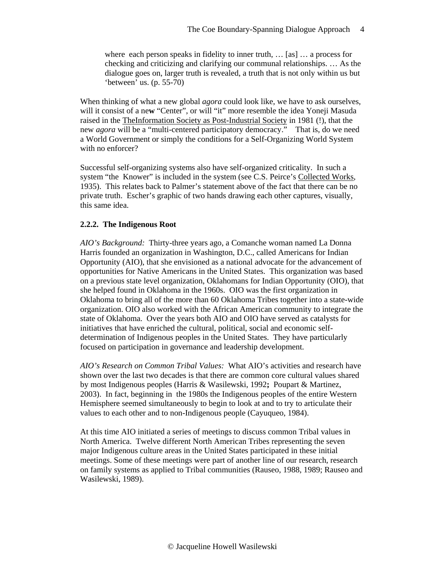where each person speaks in fidelity to inner truth, … [as] … a process for checking and criticizing and clarifying our communal relationships. … As the dialogue goes on, larger truth is revealed, a truth that is not only within us but 'between' us. (p. 55-70)

When thinking of what a new global *agora* could look like, we have to ask ourselves, will it consist of a ne**w** "Center", or will "it" more resemble the idea Yoneji Masuda raised in the TheInformation Society as Post-Industrial Society in 1981 (!), that the new *agora* will be a "multi-centered participatory democracy." That is, do we need a World Government or simply the conditions for a Self-Organizing World System with no enforcer?

Successful self-organizing systems also have self-organized criticality. In such a system "the Knower" is included in the system (see C.S. Peirce's Collected Works, 1935). This relates back to Palmer's statement above of the fact that there can be no private truth. Escher's graphic of two hands drawing each other captures, visually, this same idea.

## **2.2.2. The Indigenous Root**

*AIO's Background:* Thirty-three years ago, a Comanche woman named La Donna Harris founded an organization in Washington, D.C., called Americans for Indian Opportunity (AIO), that she envisioned as a national advocate for the advancement of opportunities for Native Americans in the United States. This organization was based on a previous state level organization, Oklahomans for Indian Opportunity (OIO), that she helped found in Oklahoma in the 1960s. OIO was the first organization in Oklahoma to bring all of the more than 60 Oklahoma Tribes together into a state-wide organization. OIO also worked with the African American community to integrate the state of Oklahoma. Over the years both AIO and OIO have served as catalysts for initiatives that have enriched the cultural, political, social and economic selfdetermination of Indigenous peoples in the United States. They have particularly focused on participation in governance and leadership development.

*AIO's Research on Common Tribal Values:* What AIO's activities and research have shown over the last two decades is that there are common core cultural values shared by most Indigenous peoples (Harris & Wasilewski, 1992**;** Poupart & Martinez, 2003). In fact, beginning in the 1980s the Indigenous peoples of the entire Western Hemisphere seemed simultaneously to begin to look at and to try to articulate their values to each other and to non-Indigenous people (Cayuqueo, 1984).

At this time AIO initiated a series of meetings to discuss common Tribal values in North America. Twelve different North American Tribes representing the seven major Indigenous culture areas in the United States participated in these initial meetings. Some of these meetings were part of another line of our research, research on family systems as applied to Tribal communities (Rauseo, 1988, 1989; Rauseo and Wasilewski, 1989).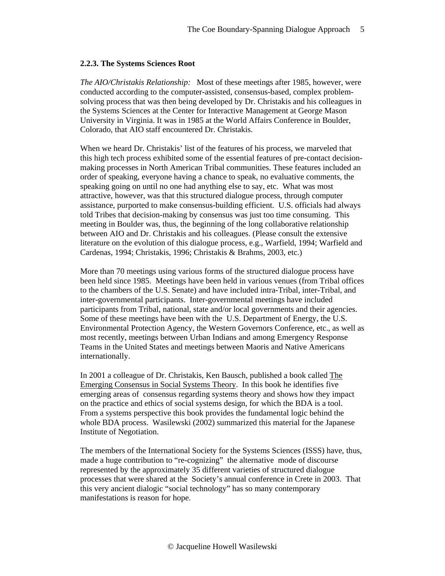## **2.2.3. The Systems Sciences Root**

*The AIO/Christakis Relationship:* Most of these meetings after 1985, however, were conducted according to the computer-assisted, consensus-based, complex problemsolving process that was then being developed by Dr. Christakis and his colleagues in the Systems Sciences at the Center for Interactive Management at George Mason University in Virginia. It was in 1985 at the World Affairs Conference in Boulder, Colorado, that AIO staff encountered Dr. Christakis.

When we heard Dr. Christakis' list of the features of his process, we marveled that this high tech process exhibited some of the essential features of pre-contact decisionmaking processes in North American Tribal communities. These features included an order of speaking, everyone having a chance to speak, no evaluative comments, the speaking going on until no one had anything else to say, etc. What was most attractive, however, was that this structured dialogue process, through computer assistance, purported to make consensus-building efficient. U.S. officials had always told Tribes that decision-making by consensus was just too time consuming. This meeting in Boulder was, thus, the beginning of the long collaborative relationship between AIO and Dr. Christakis and his colleagues. (Please consult the extensive literature on the evolution of this dialogue process, e.g., Warfield, 1994; Warfield and Cardenas, 1994; Christakis, 1996; Christakis & Brahms, 2003, etc.)

More than 70 meetings using various forms of the structured dialogue process have been held since 1985. Meetings have been held in various venues (from Tribal offices to the chambers of the U.S. Senate) and have included intra-Tribal, inter-Tribal, and inter-governmental participants. Inter-governmental meetings have included participants from Tribal, national, state and/or local governments and their agencies. Some of these meetings have been with the U.S. Department of Energy, the U.S. Environmental Protection Agency, the Western Governors Conference, etc., as well as most recently, meetings between Urban Indians and among Emergency Response Teams in the United States and meetings between Maoris and Native Americans internationally.

In 2001 a colleague of Dr. Christakis, Ken Bausch, published a book called The Emerging Consensus in Social Systems Theory. In this book he identifies five emerging areas of consensus regarding systems theory and shows how they impact on the practice and ethics of social systems design, for which the BDA is a tool. From a systems perspective this book provides the fundamental logic behind the whole BDA process. Wasilewski (2002) summarized this material for the Japanese Institute of Negotiation.

The members of the International Society for the Systems Sciences (ISSS) have, thus, made a huge contribution to "re-cognizing" the alternative mode of discourse represented by the approximately 35 different varieties of structured dialogue processes that were shared at the Society's annual conference in Crete in 2003. That this very ancient dialogic "social technology" has so many contemporary manifestations is reason for hope.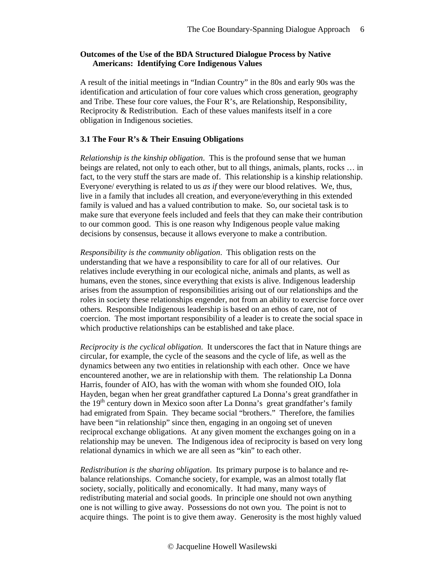## **Outcomes of the Use of the BDA Structured Dialogue Process by Native Americans: Identifying Core Indigenous Values**

A result of the initial meetings in "Indian Country" in the 80s and early 90s was the identification and articulation of four core values which cross generation, geography and Tribe. These four core values, the Four R's, are Relationship, Responsibility, Reciprocity & Redistribution. Each of these values manifests itself in a core obligation in Indigenous societies.

### **3.1 The Four R's & Their Ensuing Obligations**

*Relationship is the kinship obligation*. This is the profound sense that we human beings are related, not only to each other, but to all things, animals, plants, rocks … in fact, to the very stuff the stars are made of. This relationship is a kinship relationship. Everyone/ everything is related to us *as if* they were our blood relatives. We, thus, live in a family that includes all creation, and everyone/everything in this extended family is valued and has a valued contribution to make. So, our societal task is to make sure that everyone feels included and feels that they can make their contribution to our common good. This is one reason why Indigenous people value making decisions by consensus, because it allows everyone to make a contribution.

*Responsibility is the community obligation*. This obligation rests on the understanding that we have a responsibility to care for all of our relatives. Our relatives include everything in our ecological niche, animals and plants, as well as humans, even the stones, since everything that exists is alive. Indigenous leadership arises from the assumption of responsibilities arising out of our relationships and the roles in society these relationships engender, not from an ability to exercise force over others. Responsible Indigenous leadership is based on an ethos of care, not of coercion. The most important responsibility of a leader is to create the social space in which productive relationships can be established and take place.

*Reciprocity is the cyclical obligation*. It underscores the fact that in Nature things are circular, for example, the cycle of the seasons and the cycle of life, as well as the dynamics between any two entities in relationship with each other. Once we have encountered another, we are in relationship with them. The relationship La Donna Harris, founder of AIO, has with the woman with whom she founded OIO, Iola Hayden, began when her great grandfather captured La Donna's great grandfather in the  $19<sup>th</sup>$  century down in Mexico soon after La Donna's great grandfather's family had emigrated from Spain. They became social "brothers." Therefore, the families have been "in relationship" since then, engaging in an ongoing set of uneven reciprocal exchange obligations. At any given moment the exchanges going on in a relationship may be uneven. The Indigenous idea of reciprocity is based on very long relational dynamics in which we are all seen as "kin" to each other.

*Redistribution is the sharing obligation*. Its primary purpose is to balance and rebalance relationships. Comanche society, for example, was an almost totally flat society, socially, politically and economically. It had many, many ways of redistributing material and social goods. In principle one should not own anything one is not willing to give away. Possessions do not own you. The point is not to acquire things. The point is to give them away. Generosity is the most highly valued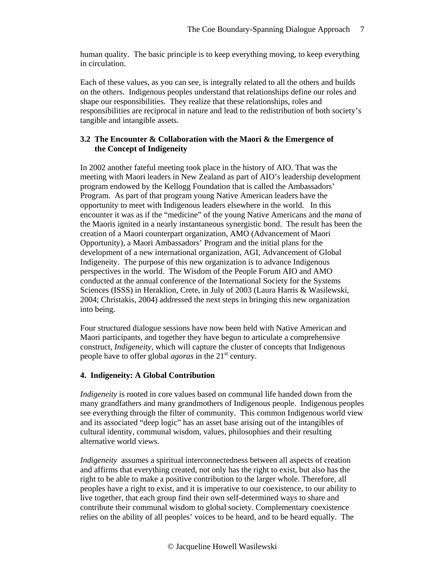human quality. The basic principle is to keep everything moving, to keep everything in circulation.

Each of these values, as you can see, is integrally related to all the others and builds on the others. Indigenous peoples understand that relationships define our roles and shape our responsibilities. They realize that these relationships, roles and responsibilities are reciprocal in nature and lead to the redistribution of both society's tangible and intangible assets.

## **3.2 The Encounter & Collaboration with the Maori & the Emergence of the Concept of Indigeneity**

In 2002 another fateful meeting took place in the history of AIO. That was the meeting with Maori leaders in New Zealand as part of AIO's leadership development program endowed by the Kellogg Foundation that is called the Ambassadors' Program. As part of that program young Native American leaders have the opportunity to meet with Indigenous leaders elsewhere in the world. In this encounter it was as if the "medicine" of the young Native Americans and the *mana* of the Maoris ignited in a nearly instantaneous synergistic bond. The result has been the creation of a Maori counterpart organization, AMO (Advancement of Maori Opportunity), a Maori Ambassadors' Program and the initial plans for the development of a new international organization, AGI, Advancement of Global Indigeneity. The purpose of this new organization is to advance Indigenous perspectives in the world. The Wisdom of the People Forum AIO and AMO conducted at the annual conference of the International Society for the Systems Sciences (ISSS) in Heraklion, Crete, in July of 2003 (Laura Harris & Wasilewski, 2004; Christakis, 2004) addressed the next steps in bringing this new organization into being.

Four structured dialogue sessions have now been held with Native American and Maori participants, and together they have begun to articulate a comprehensive construct, *Indigeneity*, which will capture the cluster of concepts that Indigenous people have to offer global *agoras* in the 21<sup>st</sup> century.

# **4. Indigeneity: A Global Contribution**

*Indigeneity* is rooted in core values based on communal life handed down from the many grandfathers and many grandmothers of Indigenous people. Indigenous peoples see everything through the filter of community. This common Indigenous world view and its associated "deep logic" has an asset base arising out of the intangibles of cultural identity, communal wisdom, values, philosophies and their resulting alternative world views.

*Indigeneity* assumes a spiritual interconnectedness between all aspects of creation and affirms that everything created, not only has the right to exist, but also has the right to be able to make a positive contribution to the larger whole. Therefore, all peoples have a right to exist, and it is imperative to our coexistence, to our ability to live together, that each group find their own self-determined ways to share and contribute their communal wisdom to global society. Complementary coexistence relies on the ability of all peoples' voices to be heard, and to be heard equally. The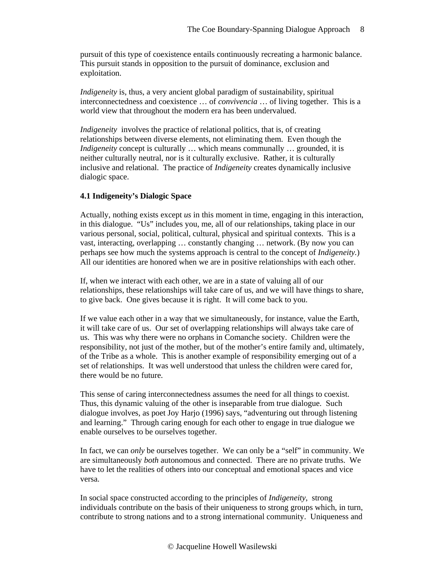pursuit of this type of coexistence entails continuously recreating a harmonic balance. This pursuit stands in opposition to the pursuit of dominance, exclusion and exploitation.

*Indigeneity* is, thus, a very ancient global paradigm of sustainability, spiritual interconnectedness and coexistence … of *convivencia* … of living together. This is a world view that throughout the modern era has been undervalued.

*Indigeneity* involves the practice of relational politics, that is, of creating relationships between diverse elements, not eliminating them. Even though the *Indigeneity* concept is culturally ... which means communally ... grounded, it is neither culturally neutral, nor is it culturally exclusive. Rather, it is culturally inclusive and relational. The practice of *Indigeneity* creates dynamically inclusive dialogic space.

### **4.1 Indigeneity's Dialogic Space**

Actually, nothing exists except *us* in this moment in time, engaging in this interaction, in this dialogue. "Us" includes you, me, all of our relationships, taking place in our various personal, social, political, cultural, physical and spiritual contexts. This is a vast, interacting, overlapping … constantly changing … network. (By now you can perhaps see how much the systems approach is central to the concept of *Indigeneity.*) All our identities are honored when we are in positive relationships with each other.

If, when we interact with each other, we are in a state of valuing all of our relationships, these relationships will take care of us, and we will have things to share, to give back. One gives because it is right. It will come back to you.

If we value each other in a way that we simultaneously, for instance, value the Earth, it will take care of us. Our set of overlapping relationships will always take care of us. This was why there were no orphans in Comanche society. Children were the responsibility, not just of the mother, but of the mother's entire family and, ultimately, of the Tribe as a whole. This is another example of responsibility emerging out of a set of relationships. It was well understood that unless the children were cared for, there would be no future.

This sense of caring interconnectedness assumes the need for all things to coexist. Thus, this dynamic valuing of the other is inseparable from true dialogue. Such dialogue involves, as poet Joy Harjo (1996) says, "adventuring out through listening and learning." Through caring enough for each other to engage in true dialogue we enable ourselves to be ourselves together.

In fact, we can *only* be ourselves together. We can only be a "self" in community. We are simultaneously *both* autonomous and connected. There are no private truths. We have to let the realities of others into our conceptual and emotional spaces and vice versa.

In social space constructed according to the principles of *Indigeneity*, strong individuals contribute on the basis of their uniqueness to strong groups which, in turn, contribute to strong nations and to a strong international community. Uniqueness and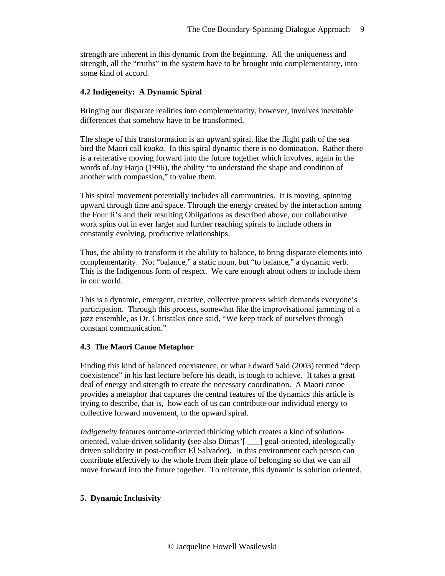strength are inherent in this dynamic from the beginning. All the uniqueness and strength, all the "truths" in the system have to be brought into complementarity, into some kind of accord.

### **4.2 Indigeneity: A Dynamic Spiral**

Bringing our disparate realities into complementarity, however, involves inevitable differences that somehow have to be transformed.

The shape of this transformation is an upward spiral, like the flight path of the sea bird the Maori call *kuaka.* In this spiral dynamic there is no domination. Rather there is a reiterative moving forward into the future together which involves, again in the words of Joy Harjo (1996), the ability "to understand the shape and condition of another with compassion," to value them.

This spiral movement potentially includes all communities. It is moving, spinning upward through time and space. Through the energy created by the interaction among the Four R's and their resulting Obligations as described above, our collaborative work spins out in ever larger and further reaching spirals to include others in constantly evolving, productive relationships.

Thus, the ability to transform is the ability to balance, to bring disparate elements into complementarity. Not "balance," a static noun, but "to balance," a dynamic verb. This is the Indigenous form of respect. We care enough about others to include them in our world.

This is a dynamic, emergent, creative, collective process which demands everyone's participation. Through this process, somewhat like the improvisational jamming of a jazz ensemble, as Dr. Christakis once said, "We keep track of ourselves through constant communication."

#### **4.3 The Maori Canoe Metaphor**

Finding this kind of balanced coexistence, or what Edward Said (2003) termed "deep coexistence" in his last lecture before his death, is tough to achieve. It takes a great deal of energy and strength to create the necessary coordination. A Maori canoe provides a metaphor that captures the central features of the dynamics this article is trying to describe, that is, how each of us can contribute our individual energy to collective forward movement, to the upward spiral.

*Indigeneity* features outcome-oriented thinking which creates a kind of solutionoriented, value-driven solidarity **(**see also Dimas'[ \_\_\_] goal-oriented, ideologically driven solidarity in post-conflict El Salvador**).** In this environment each person can contribute effectively to the whole from their place of belonging so that we can all move forward into the future together. To reiterate, this dynamic is solution oriented.

#### **5. Dynamic Inclusivity**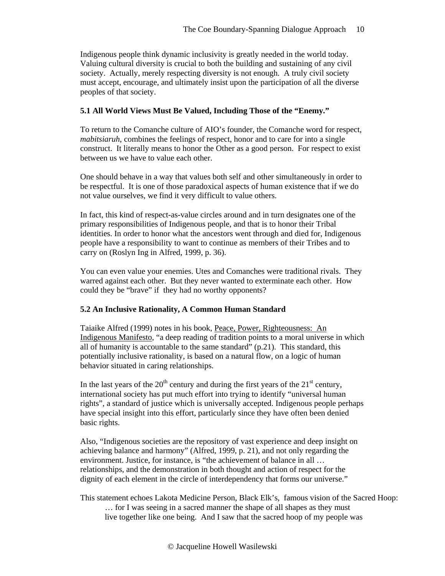Indigenous people think dynamic inclusivity is greatly needed in the world today. Valuing cultural diversity is crucial to both the building and sustaining of any civil society. Actually, merely respecting diversity is not enough. A truly civil society must accept, encourage, and ultimately insist upon the participation of all the diverse peoples of that society.

## **5.1 All World Views Must Be Valued, Including Those of the "Enemy."**

To return to the Comanche culture of AIO's founder, the Comanche word for respect, *mabitsiaruh*, combines the feelings of respect, honor and to care for into a single construct. It literally means to honor the Other as a good person. For respect to exist between us we have to value each other.

One should behave in a way that values both self and other simultaneously in order to be respectful. It is one of those paradoxical aspects of human existence that if we do not value ourselves, we find it very difficult to value others.

In fact, this kind of respect-as-value circles around and in turn designates one of the primary responsibilities of Indigenous people, and that is to honor their Tribal identities. In order to honor what the ancestors went through and died for, Indigenous people have a responsibility to want to continue as members of their Tribes and to carry on (Roslyn Ing in Alfred, 1999, p. 36).

You can even value your enemies. Utes and Comanches were traditional rivals. They warred against each other. But they never wanted to exterminate each other. How could they be "brave" if they had no worthy opponents?

# **5.2 An Inclusive Rationality, A Common Human Standard**

Taiaike Alfred (1999) notes in his book, Peace, Power, Righteousness: An Indigenous Manifesto, "a deep reading of tradition points to a moral universe in which all of humanity is accountable to the same standard"  $(p.21)$ . This standard, this potentially inclusive rationality, is based on a natural flow, on a logic of human behavior situated in caring relationships.

In the last years of the  $20<sup>th</sup>$  century and during the first years of the  $21<sup>st</sup>$  century, international society has put much effort into trying to identify "universal human rights", a standard of justice which is universally accepted. Indigenous people perhaps have special insight into this effort, particularly since they have often been denied basic rights.

Also, "Indigenous societies are the repository of vast experience and deep insight on achieving balance and harmony" (Alfred, 1999, p. 21), and not only regarding the environment. Justice, for instance, is "the achievement of balance in all … relationships, and the demonstration in both thought and action of respect for the dignity of each element in the circle of interdependency that forms our universe."

This statement echoes Lakota Medicine Person, Black Elk's, famous vision of the Sacred Hoop: … for I was seeing in a sacred manner the shape of all shapes as they must live together like one being. And I saw that the sacred hoop of my people was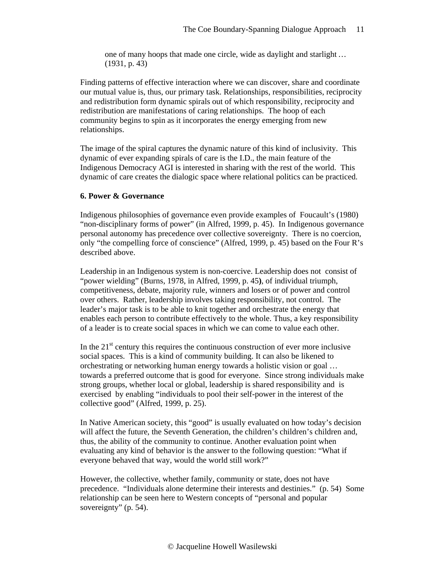one of many hoops that made one circle, wide as daylight and starlight *…*  (1931, p. 43)

Finding patterns of effective interaction where we can discover, share and coordinate our mutual value is, thus, our primary task. Relationships, responsibilities, reciprocity and redistribution form dynamic spirals out of which responsibility, reciprocity and redistribution are manifestations of caring relationships. The hoop of each community begins to spin as it incorporates the energy emerging from new relationships.

The image of the spiral captures the dynamic nature of this kind of inclusivity. This dynamic of ever expanding spirals of care is the I.D., the main feature of the Indigenous Democracy AGI is interested in sharing with the rest of the world. This dynamic of care creates the dialogic space where relational politics can be practiced.

## **6. Power & Governance**

Indigenous philosophies of governance even provide examples of Foucault's (1980) "non-disciplinary forms of power" (in Alfred, 1999, p. 45). In Indigenous governance personal autonomy has precedence over collective sovereignty. There is no coercion, only "the compelling force of conscience" (Alfred, 1999, p. 45) based on the Four R's described above.

Leadership in an Indigenous system is non-coercive. Leadership does not consist of "power wielding" (Burns, 1978, in Alfred, 1999, p. 45**)**, of individual triumph, competitiveness, debate, majority rule, winners and losers or of power and control over others. Rather, leadership involves taking responsibility, not control. The leader's major task is to be able to knit together and orchestrate the energy that enables each person to contribute effectively to the whole. Thus, a key responsibility of a leader is to create social spaces in which we can come to value each other.

In the  $21<sup>st</sup>$  century this requires the continuous construction of ever more inclusive social spaces. This is a kind of community building. It can also be likened to orchestrating or networking human energy towards a holistic vision or goal … towards a preferred outcome that is good for everyone. Since strong individuals make strong groups, whether local or global, leadership is shared responsibility and is exercised by enabling "individuals to pool their self-power in the interest of the collective good" (Alfred, 1999, p. 25).

In Native American society, this "good" is usually evaluated on how today's decision will affect the future, the Seventh Generation, the children's children's children and, thus, the ability of the community to continue. Another evaluation point when evaluating any kind of behavior is the answer to the following question: "What if everyone behaved that way, would the world still work?"

However, the collective, whether family, community or state, does not have precedence. "Individuals alone determine their interests and destinies." (p. 54)Some relationship can be seen here to Western concepts of "personal and popular sovereignty" (p. 54).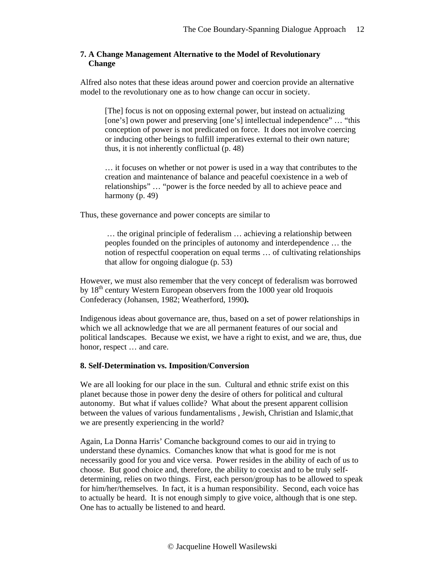# **7. A Change Management Alternative to the Model of Revolutionary Change**

Alfred also notes that these ideas around power and coercion provide an alternative model to the revolutionary one as to how change can occur in society.

[The] focus is not on opposing external power, but instead on actualizing [one's] own power and preserving [one's] intellectual independence" ... "this conception of power is not predicated on force. It does not involve coercing or inducing other beings to fulfill imperatives external to their own nature; thus, it is not inherently conflictual (p. 48)

… it focuses on whether or not power is used in a way that contributes to the creation and maintenance of balance and peaceful coexistence in a web of relationships" … "power is the force needed by all to achieve peace and harmony (p. 49)

Thus, these governance and power concepts are similar to

… the original principle of federalism … achieving a relationship between peoples founded on the principles of autonomy and interdependence … the notion of respectful cooperation on equal terms … of cultivating relationships that allow for ongoing dialogue (p. 53)

However, we must also remember that the very concept of federalism was borrowed by 18<sup>th</sup> century Western European observers from the 1000 year old Iroquois Confederacy (Johansen, 1982; Weatherford, 1990**).**

Indigenous ideas about governance are, thus, based on a set of power relationships in which we all acknowledge that we are all permanent features of our social and political landscapes. Because we exist, we have a right to exist, and we are, thus, due honor, respect … and care.

# **8. Self-Determination vs. Imposition/Conversion**

We are all looking for our place in the sun. Cultural and ethnic strife exist on this planet because those in power deny the desire of others for political and cultural autonomy. But what if values collide? What about the present apparent collision between the values of various fundamentalisms , Jewish, Christian and Islamic,that we are presently experiencing in the world?

Again, La Donna Harris' Comanche background comes to our aid in trying to understand these dynamics. Comanches know that what is good for me is not necessarily good for you and vice versa. Power resides in the ability of each of us to choose. But good choice and, therefore, the ability to coexist and to be truly selfdetermining, relies on two things. First, each person/group has to be allowed to speak for him/her/themselves. In fact, it is a human responsibility. Second, each voice has to actually be heard. It is not enough simply to give voice, although that is one step. One has to actually be listened to and heard.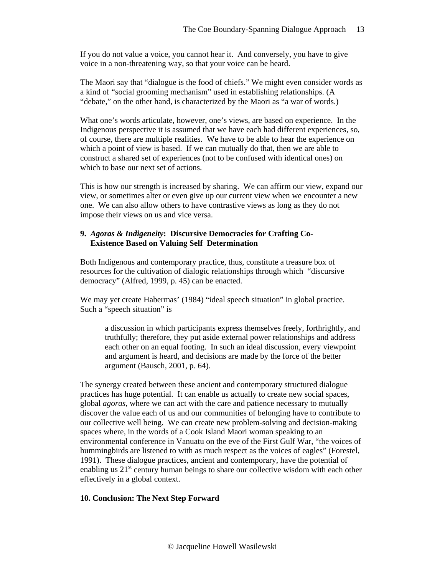If you do not value a voice, you cannot hear it. And conversely, you have to give voice in a non-threatening way, so that your voice can be heard.

The Maori say that "dialogue is the food of chiefs." We might even consider words as a kind of "social grooming mechanism" used in establishing relationships. (A "debate," on the other hand, is characterized by the Maori as "a war of words.)

What one's words articulate, however, one's views, are based on experience. In the Indigenous perspective it is assumed that we have each had different experiences, so, of course, there are multiple realities. We have to be able to hear the experience on which a point of view is based. If we can mutually do that, then we are able to construct a shared set of experiences (not to be confused with identical ones) on which to base our next set of actions.

This is how our strength is increased by sharing. We can affirm our view, expand our view, or sometimes alter or even give up our current view when we encounter a new one. We can also allow others to have contrastive views as long as they do not impose their views on us and vice versa.

### **9.** *Agoras & Indigeneity***: Discursive Democracies for Crafting Co- Existence Based on Valuing Self Determination**

Both Indigenous and contemporary practice, thus, constitute a treasure box of resources for the cultivation of dialogic relationships through which "discursive democracy" (Alfred, 1999, p. 45) can be enacted.

We may yet create Habermas' (1984) "ideal speech situation" in global practice. Such a "speech situation" is

a discussion in which participants express themselves freely, forthrightly, and truthfully; therefore, they put aside external power relationships and address each other on an equal footing. In such an ideal discussion, every viewpoint and argument is heard, and decisions are made by the force of the better argument (Bausch, 2001, p. 64).

The synergy created between these ancient and contemporary structured dialogue practices has huge potential. It can enable us actually to create new social spaces, global *agoras*, where we can act with the care and patience necessary to mutually discover the value each of us and our communities of belonging have to contribute to our collective well being. We can create new problem-solving and decision-making spaces where, in the words of a Cook Island Maori woman speaking to an environmental conference in Vanuatu on the eve of the First Gulf War, "the voices of hummingbirds are listened to with as much respect as the voices of eagles" (Forestel, 1991). These dialogue practices, ancient and contemporary, have the potential of enabling us  $21<sup>st</sup>$  century human beings to share our collective wisdom with each other effectively in a global context.

### **10. Conclusion: The Next Step Forward**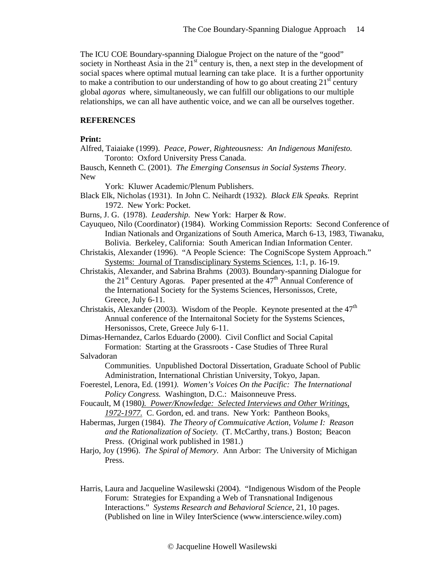The ICU COE Boundary-spanning Dialogue Project on the nature of the "good" society in Northeast Asia in the  $21<sup>st</sup>$  century is, then, a next step in the development of social spaces where optimal mutual learning can take place. It is a further opportunity to make a contribution to our understanding of how to go about creating  $21<sup>st</sup>$  century global *agoras* where, simultaneously, we can fulfill our obligations to our multiple relationships, we can all have authentic voice, and we can all be ourselves together.

#### **REFERENCES**

#### **Print:**

Alfred, Taiaiake (1999). *Peace, Power, Righteousness: An Indigenous Manifesto.* Toronto: Oxford University Press Canada.

Bausch, Kenneth C. (2001). *The Emerging Consensus in Social Systems Theory*. New

York: Kluwer Academic/Plenum Publishers.

- Black Elk, Nicholas (1931). In John C. Neihardt (1932). *Black Elk Speaks.* Reprint 1972. New York: Pocket.
- Burns, J. G. (1978). *Leadership.* New York: Harper & Row.
- Cayuqueo, Nilo (Coordinator) (1984). Working Commission Reports: Second Conference of Indian Nationals and Organizations of South America, March 6-13, 1983, Tiwanaku, Bolivia. Berkeley, California: South American Indian Information Center.
- Christakis, Alexander (1996). "A People Science: The CogniScope System Approach." Systems: Journal of Transdisciplinary Systems Sciences, 1:1, p. 16-19.
- Christakis, Alexander, and Sabrina Brahms (2003). Boundary-spanning Dialogue for the 21<sup>st</sup> Century Agoras. Paper presented at the 47<sup>th</sup> Annual Conference of the International Society for the Systems Sciences, Hersonissos, Crete, Greece, July 6-11.
- Christakis, Alexander (2003). Wisdom of the People. Keynote presented at the  $47<sup>th</sup>$ Annual conference of the Internaitonal Society for the Systems Sciences, Hersonissos, Crete, Greece July 6-11.
- Dimas-Hernandez, Carlos Eduardo (2000). Civil Conflict and Social Capital Formation: Starting at the Grassroots - Case Studies of Three Rural Salvadoran
	- Communities. Unpublished Doctoral Dissertation, Graduate School of Public Administration, International Christian University, Tokyo, Japan.
- Foerestel, Lenora, Ed. (1991*). Women's Voices On the Pacific: The International Policy Congress.* Washington, D.C.: Maisonneuve Press.
- Foucault, M (1980*). Power/Knowledge: Selected Interviews and Other Writings, 1972-1977.* C. Gordon, ed. and trans. New York: Pantheon Books.
- Habermas, Jurgen (1984). *The Theory of Commuicative Action, Volume I: Reason and the Rationalization of Society.* (T. McCarthy, trans.) Boston; Beacon Press. (Original work published in 1981.)
- Harjo, Joy (1996). *The Spiral of Memory.* Ann Arbor: The University of Michigan Press.
- Harris, Laura and Jacqueline Wasilewski (2004). "Indigenous Wisdom of the People Forum: Strategies for Expanding a Web of Transnational Indigenous Interactions." *Systems Research and Behavioral Science*, 21, 10 pages. (Published on line in Wiley InterScience (www.interscience.wiley.com)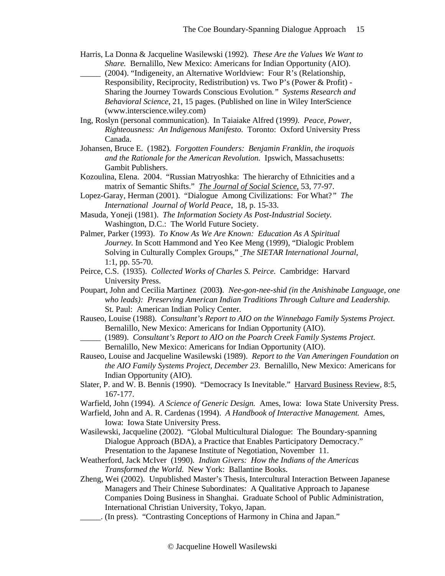- Harris, La Donna & Jacqueline Wasilewski (1992)*. These Are the Values We Want to Share.* Bernalillo, New Mexico: Americans for Indian Opportunity (AIO).
- (2004). "Indigeneity, an Alternative Worldview: Four R's (Relationship, Responsibility, Reciprocity, Redistribution) vs. Two P's (Power & Profit) - Sharing the Journey Towards Conscious Evolution*." Systems Research and Behavioral Science*, 21, 15 pages. (Published on line in Wiley InterScience (www.interscience.wiley.com)
- Ing, Roslyn (personal communication). In Taiaiake Alfred (1999*). Peace, Power, Righteousness: An Indigenous Manifesto*. Toronto: Oxford University Press Canada.
- Johansen, Bruce E. (1982)*. Forgotten Founders: Benjamin Franklin, the iroquois and the Rationale for the American Revolution.* Ipswich, Massachusetts: Gambit Publishers.
- Kozoulina, Elena. 2004. "Russian Matryoshka: The hierarchy of Ethnicities and a matrix of Semantic Shifts." *The Journal of Social Science,* 53, 77-97.
- Lopez-Garay, Herman (2001). "Dialogue Among Civilizations: For What?*" The International Journal of World Peace*, 18*,* p. 15-33.
- Masuda, Yoneji (1981). *The Information Society As Post-Industrial Society.* Washington, D.C.: The World Future Society.
- Palmer, Parker (1993). *To Know As We Are Known: Education As A Spiritual Journey.* In Scott Hammond and Yeo Kee Meng (1999), "Dialogic Problem Solving in Culturally Complex Groups," *The SIETAR International Journal*, 1:1, pp. 55-70.
- Peirce, C.S. (1935). *Collected Works of Charles S. Peirce.* Cambridge: Harvard University Press.
- Poupart, John and Cecilia Martinez (2003**)***. Nee-gon-nee-shid (in the Anishinabe Language, one who leads): Preserving American Indian Traditions Through Culture and Leadership.* St. Paul: American Indian Policy Center.
- Rauseo, Louise (1988)*. Consultant's Report to AIO on the Winnebago Family Systems Project*. Bernalillo, New Mexico: Americans for Indian Opportunity (AIO).
- \_\_\_\_\_ (1989). *Consultant's Report to AIO on the Poarch Creek Family Systems Project*. Bernalillo, New Mexico: Americans for Indian Opportunity (AIO).
- Rauseo, Louise and Jacqueline Wasilewski (1989). *Report to the Van Ameringen Foundation on the AIO Family Systems Project, December 23.* Bernalillo, New Mexico: Americans for Indian Opportunity (AIO).
- Slater, P. and W. B. Bennis (1990). "Democracy Is Inevitable." Harvard Business Review, 8:5, 167-177.
- Warfield, John (1994). *A Science of Generic Design.* Ames, Iowa: Iowa State University Press.
- Warfield, John and A. R. Cardenas (1994). *A Handbook of Interactive Management.* Ames, Iowa: Iowa State University Press.
- Wasilewski, Jacqueline (2002). "Global Multicultural Dialogue: The Boundary-spanning Dialogue Approach (BDA), a Practice that Enables Participatory Democracy." Presentation to the Japanese Institute of Negotiation, November 11.
- Weatherford, Jack McIver (1990)*. Indian Givers: How the Indians of the Americas Transformed the World.* New York: Ballantine Books.
- Zheng, Wei (2002). Unpublished Master's Thesis, Intercultural Interaction Between Japanese Managers and Their Chinese Subordinates: A Qualitative Approach to Japanese Companies Doing Business in Shanghai. Graduate School of Public Administration, International Christian University, Tokyo, Japan.
- \_\_\_\_\_. (In press). "Contrasting Conceptions of Harmony in China and Japan."